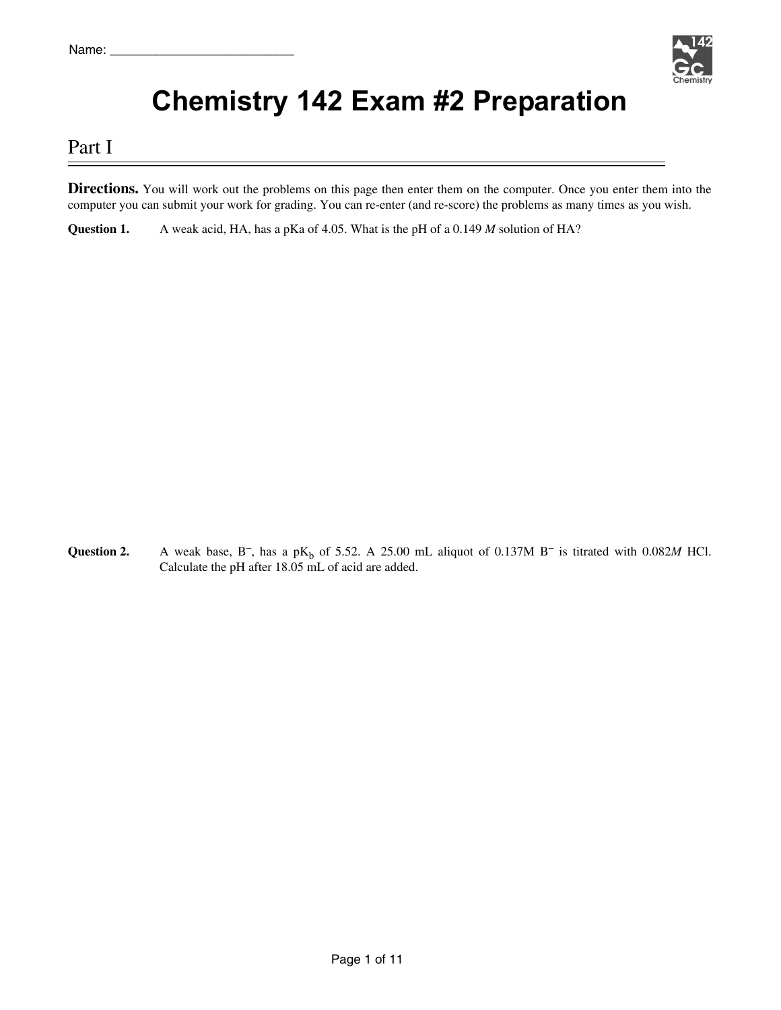

# **Chemistry 142 Exam #2 Preparation**

## Part I

**Directions.** You will work out the problems on this page then enter them on the computer. Once you enter them into the computer you can submit your work for grading. You can re-enter (and re-score) the problems as many times as you wish.

**Question 1.** A weak acid, HA, has a pKa of 4.05. What is the pH of a 0.149 *M* solution of HA?

**Question 2.** A weak base,  $B^-$ , has a p $K_b$  of 5.52. A 25.00 mL aliquot of 0.137M  $B^-$  is titrated with 0.082*M* HCl. Calculate the pH after 18.05 mL of acid are added.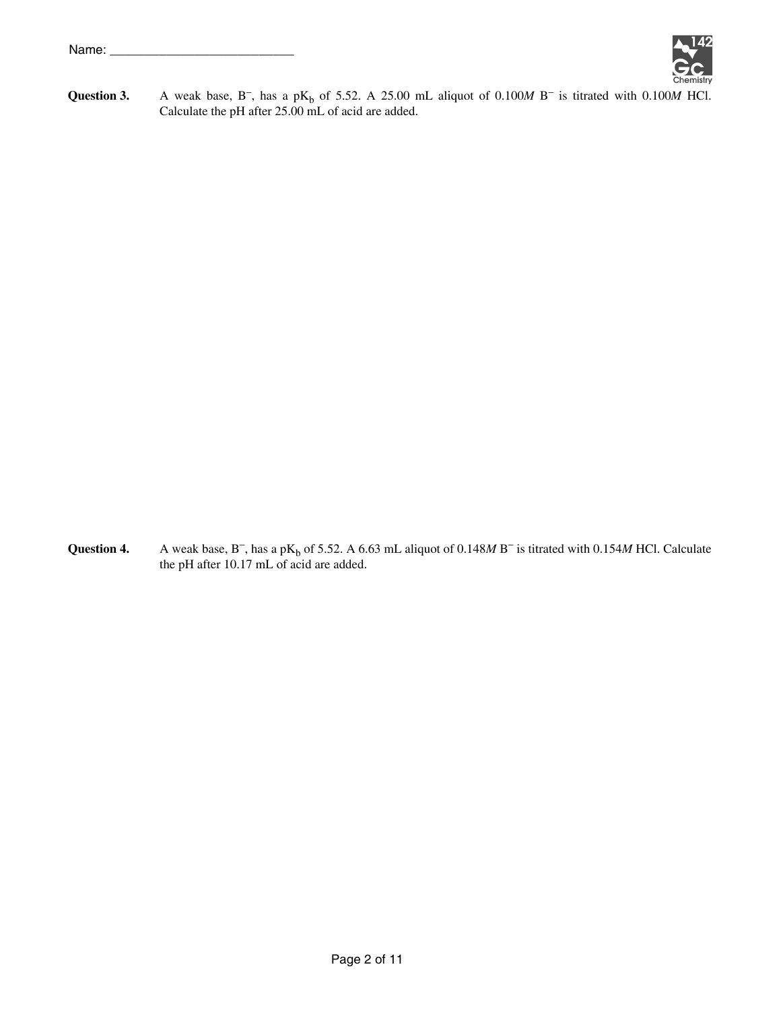

**Question 3.** A weak base,  $B^-$ , has a p $K_b$  of 5.52. A 25.00 mL aliquot of 0.100*M* B<sup>-</sup> is titrated with 0.100*M* HCl. Calculate the pH after 25.00 mL of acid are added.

**Question 4.** A weak base,  $B^-$ , has a p $K_b$  of 5.52. A 6.63 mL aliquot of 0.148*M* B<sup>-</sup> is titrated with 0.154*M* HCl. Calculate the pH after 10.17 mL of acid are added.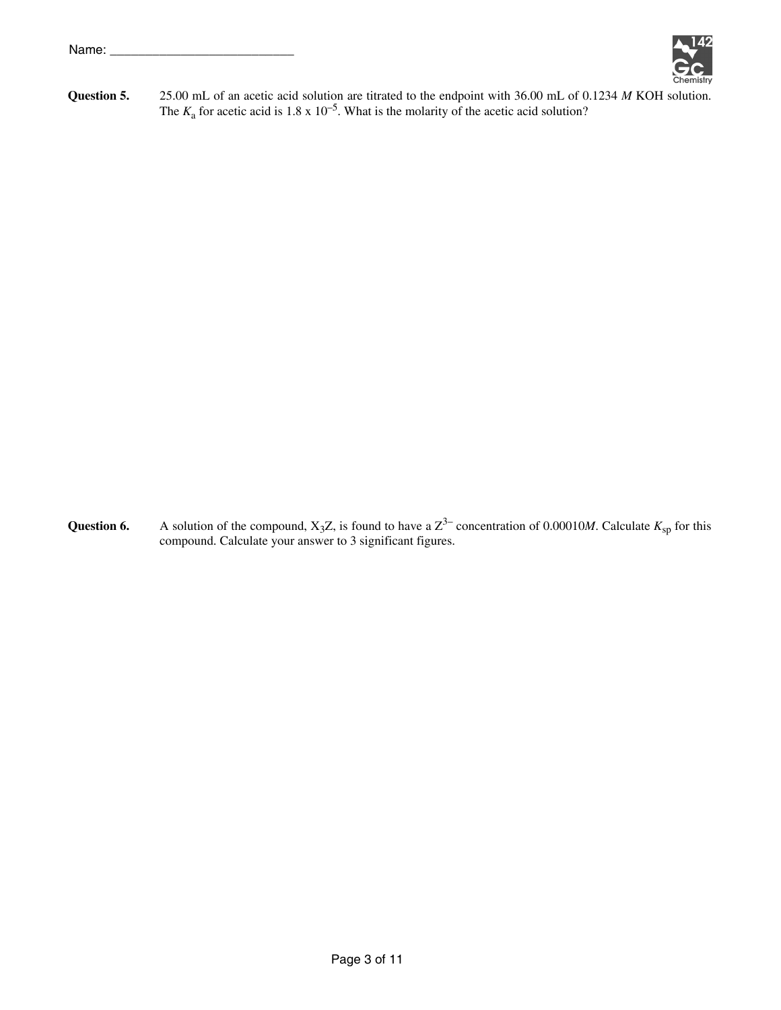

**Question 5.** 25.00 mL of an acetic acid solution are titrated to the endpoint with 36.00 mL of 0.1234 *M* KOH solution. The  $K_a$  for acetic acid is 1.8 x 10<sup>-5</sup>. What is the molarity of the acetic acid solution?

**Question 6.** A solution of the compound,  $X_3Z$ , is found to have a  $Z^3$  concentration of 0.00010*M*. Calculate  $K_{sp}$  for this compound. Calculate your answer to 3 significant figures.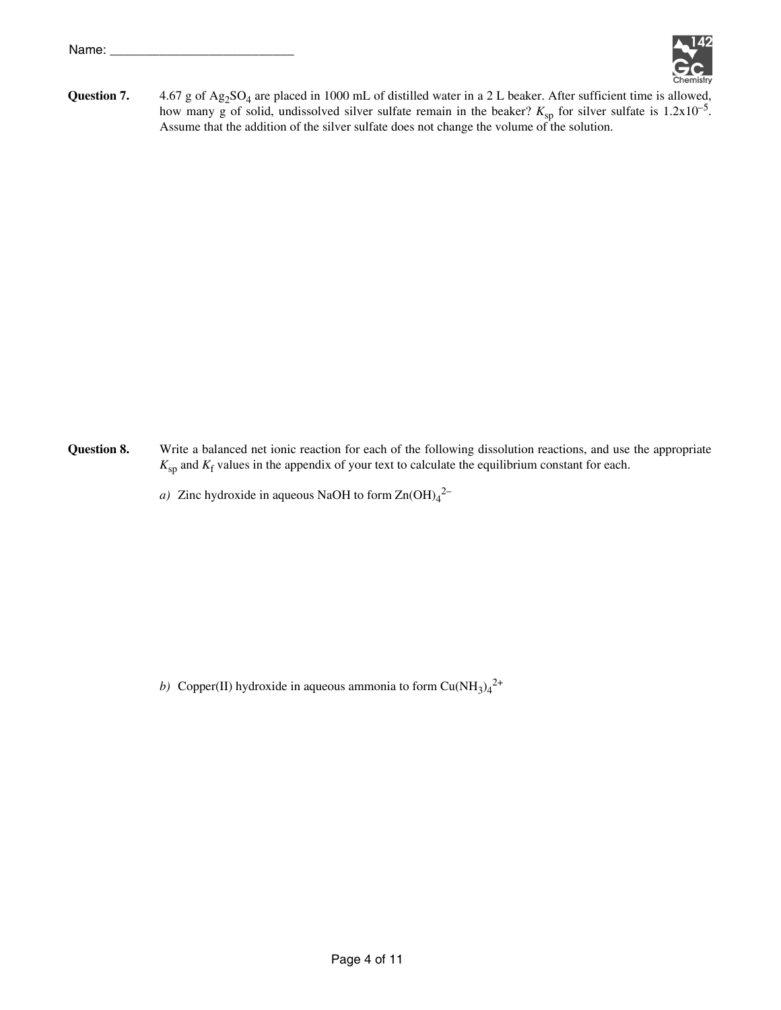

Question 7. 4.67 g of Ag<sub>2</sub>SO<sub>4</sub> are placed in 1000 mL of distilled water in a 2 L beaker. After sufficient time is allowed, how many g of solid, undissolved silver sulfate remain in the beaker?  $K_{\text{sp}}$  for silver sulfate is  $1.2 \times 10^{-5}$ . Assume that the addition of the silver sulfate does not change the volume of the solution.

- **Question 8.** Write a balanced net ionic reaction for each of the following dissolution reactions, and use the appropriate  $K_{\rm sp}$  and  $K_{\rm f}$  values in the appendix of your text to calculate the equilibrium constant for each.
	- *a*) Zinc hydroxide in aqueous NaOH to form  $Zn(OH)<sub>4</sub><sup>2</sup>$

b) Copper(II) hydroxide in aqueous ammonia to form  $Cu(NH_3)_4^2$ <sup>+</sup>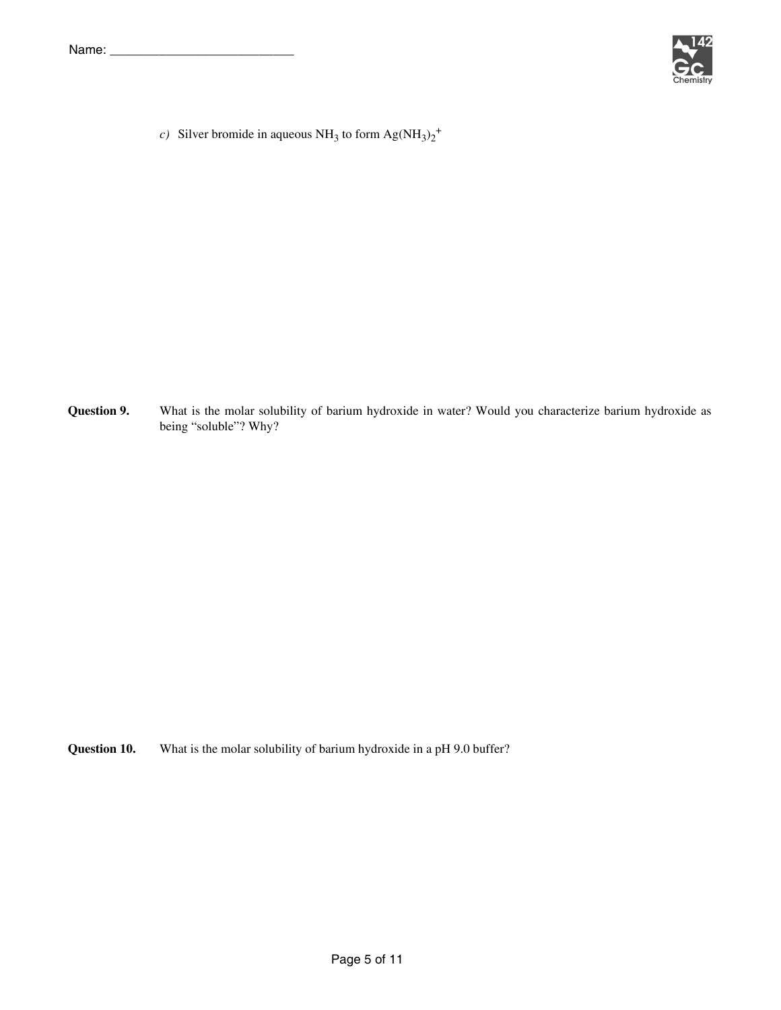

*c*) Silver bromide in aqueous NH<sub>3</sub> to form  $\text{Ag(NH}_3)_2^+$ 

**Question 9.** What is the molar solubility of barium hydroxide in water? Would you characterize barium hydroxide as being "soluble"? Why?

**Question 10.** What is the molar solubility of barium hydroxide in a pH 9.0 buffer?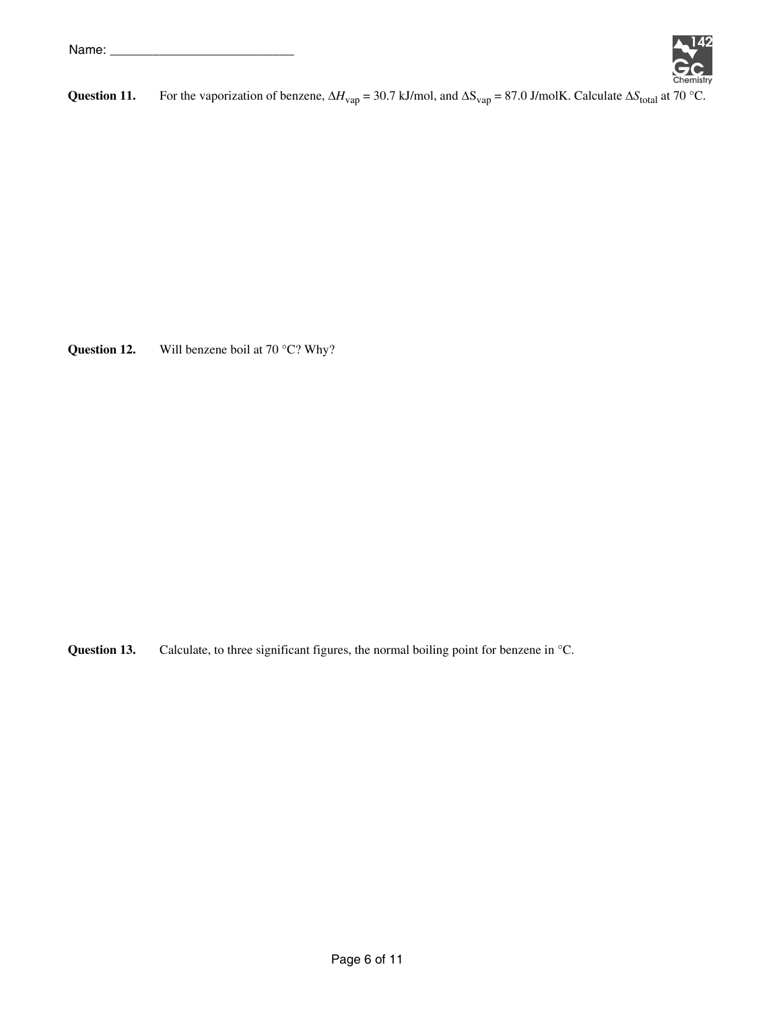

**Question 11.** For the vaporization of benzene,  $\Delta H_{vap} = 30.7$  kJ/mol, and  $\Delta S_{vap} = 87.0$  J/molK. Calculate  $\Delta S_{total}$  at 70 °C.

**Question 12.** Will benzene boil at 70 °C? Why?

**Question 13.** Calculate, to three significant figures, the normal boiling point for benzene in °C.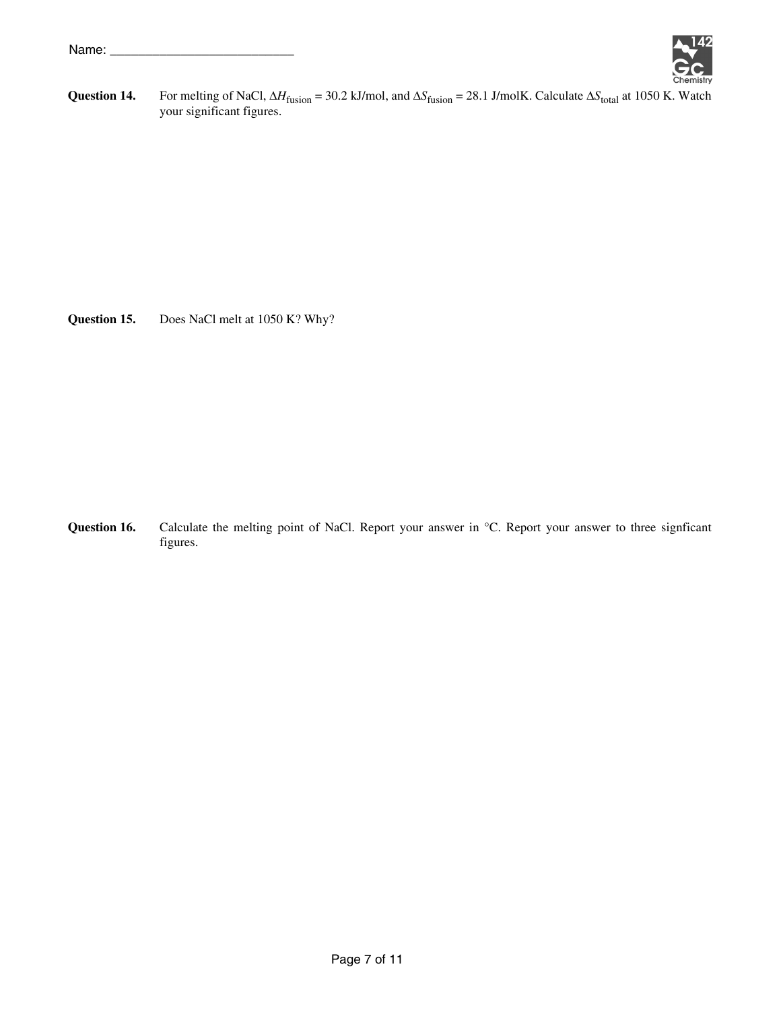

**Question 14.** For melting of NaCl,  $\Delta H_{fusion} = 30.2$  kJ/mol, and  $\Delta S_{fusion} = 28.1$  J/molK. Calculate  $\Delta S_{total}$  at 1050 K. Watch your significant figures.

**Question 15.** Does NaCl melt at 1050 K? Why?

Question 16. Calculate the melting point of NaCl. Report your answer in °C. Report your answer to three signficant figures.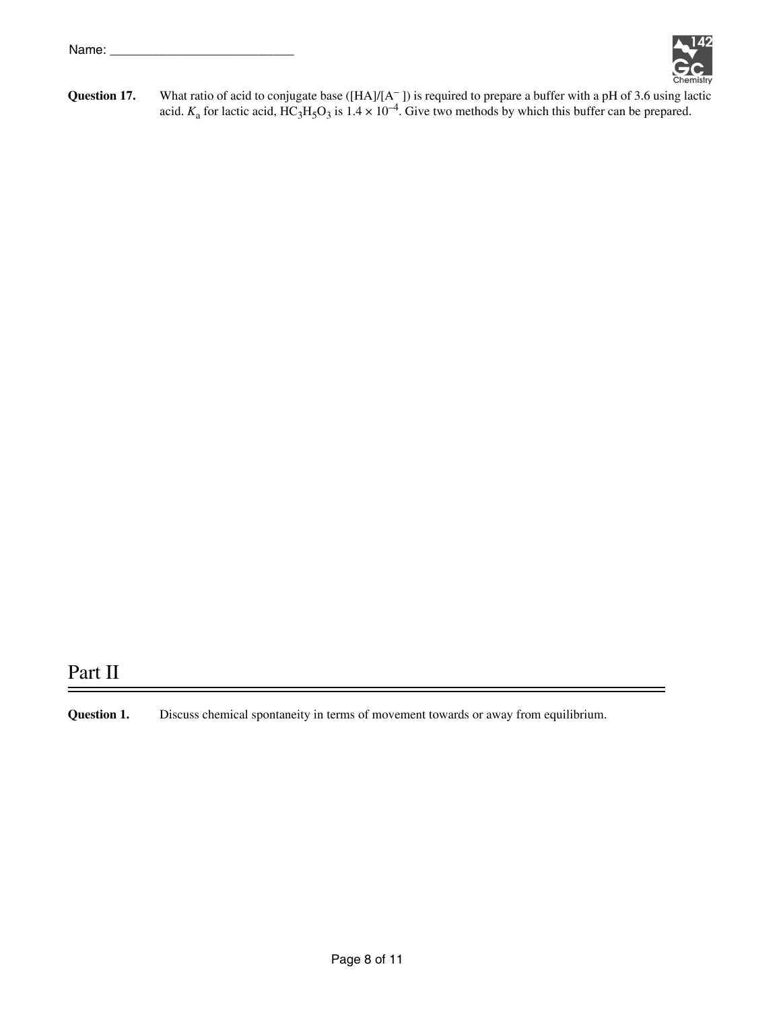

**Question 17.** What ratio of acid to conjugate base ([HA]/[A<sup>-</sup>]) is required to prepare a buffer with a pH of 3.6 using lactic acid.  $K_a$  for lactic acid,  $\text{HC}_3\text{H}_5\text{O}_3$  is  $1.4 \times 10^{-4}$ . Give two methods by which this buffer can be prepared.

## Part II

**Question 1.** Discuss chemical spontaneity in terms of movement towards or away from equilibrium.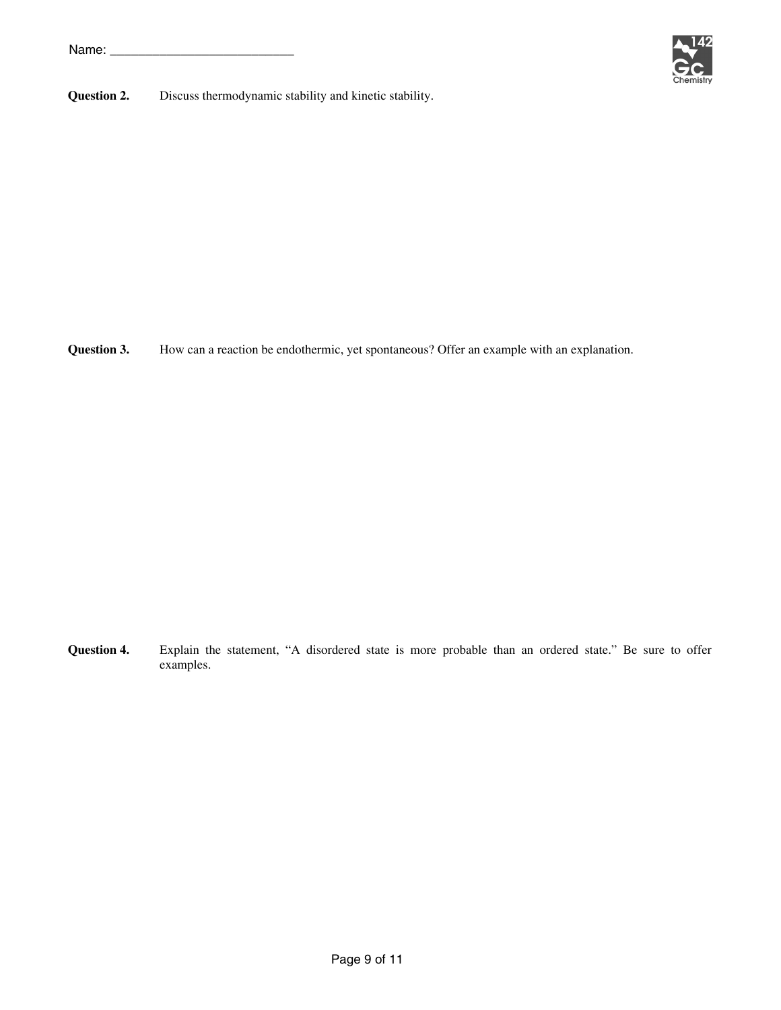

**Question 2.** Discuss thermodynamic stability and kinetic stability.

**Question 3.** How can a reaction be endothermic, yet spontaneous? Offer an example with an explanation.

**Question 4.** Explain the statement, "A disordered state is more probable than an ordered state." Be sure to offer examples.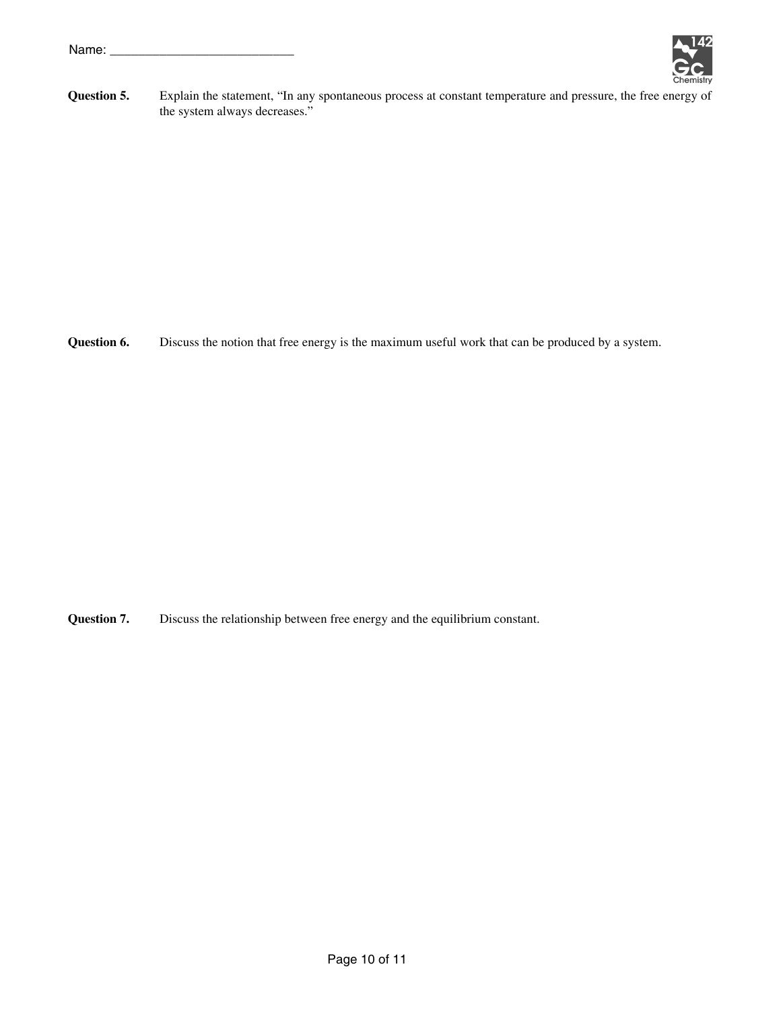

**Question 5.** Explain the statement, "In any spontaneous process at constant temperature and pressure, the free energy of the system always decreases."

**Question 6.** Discuss the notion that free energy is the maximum useful work that can be produced by a system.

**Question 7.** Discuss the relationship between free energy and the equilibrium constant.